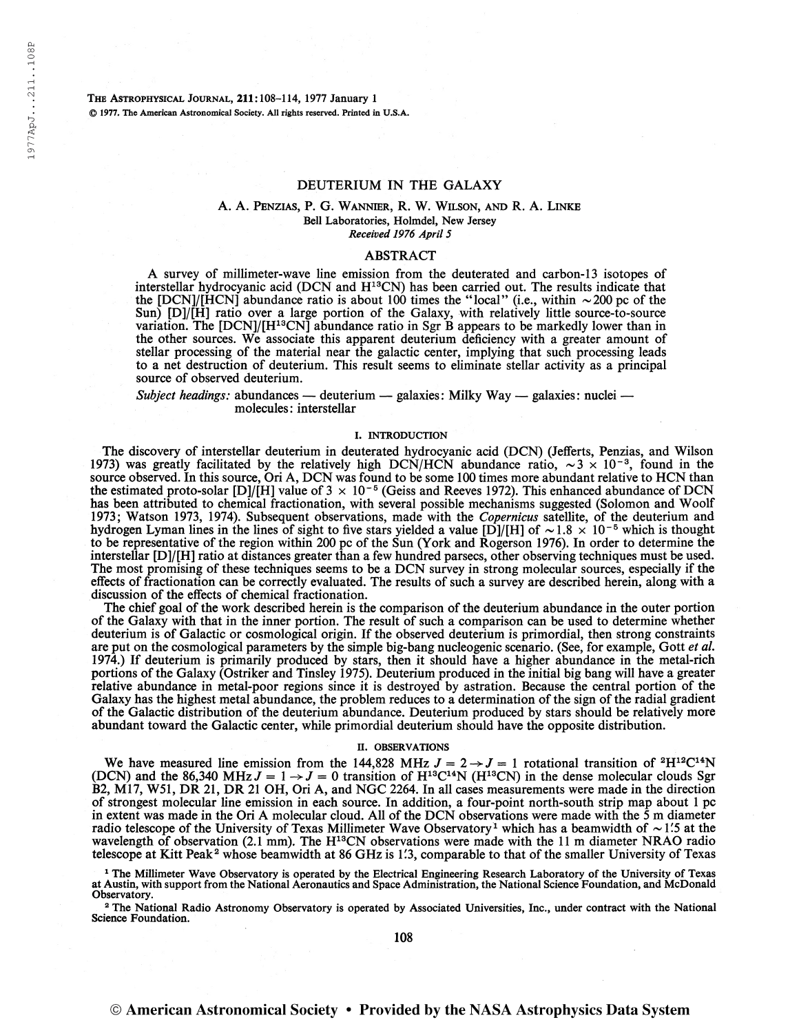The Astrophysical Journal, 211:108-114, 1977 January <sup>1</sup> © 1977. The American Astronomical Society. All rights reserved. Printed in U.S.A.

# DEUTERIUM IN THE GALAXY

# A. A. Penzias, P. G. Wannier, R. W. Wilson, and R. A. Linke Bell Laboratories, Holmdel, New Jersey Received 1976 April 5

# ABSTRACT

A survey of millimeter-wave line emission from the deuterated and carbon-13 isotopes of interstellar hydrocyanic acid (DCN and H<sup>13</sup>CN) has been carried out. The results indicate that the [DCN]/[HCN] abundance ratio is about 100 times the "local" (i.e., within  $\sim$  200 pc of the Sun) [D]/[H] ratio over a large portion of the Galaxy, with relatively little source-to-source variation. The [DCN]/[H<sup>13</sup>CN] abundance ratio in Sgr B appears to be markedly lower than in the other sources. We associate this apparent deuterium deficiency with a greater amount of stellar processing of the material near the galactic center, implying that such processing leads to a net destruction of deuterium. This result seems to eliminate stellar activity as a principal source of observed deuterium.

Subject headings: abundances — deuterium — galaxies: Milky Way — galaxies: nuclei molecules: interstellar

#### I. INTRODUCTION

The discovery of interstellar deuterium in deuterated hydrocyanic acid (DCN) (Jefferts, Penzias, and Wilson 1973) was greatly facilitated by the relatively high DCN/HCN abundance ratio,  $\sim 3 \times 10^{-3}$ , found in the source observed. In this source, Ori A, DCN was found to be some 100 times more abundant relative to HCN than source observed. In this source, Ori A, DCN was found to be some 100 times more abundant relative to HCN than<br>the estimated proto-solar [D]/[H] value of 3  $\times$  10<sup>-5</sup> (Geiss and Reeves 1972). This enhanced abundance of DC has been attributed to chemical fractionation, with several possible mechanisms suggested (Solomon and Woolf 1973; Watson 1973, 1974). Subsequent observations, made with the *Copernicus* satellite, of the deuterium and hydrogen Lyman lines in the lines of sight to five stars yielded a value [D]/[H] of  $\sim$  1.8  $\times$  10<sup>-5</sup> which to be representative of the region within 200 pc of the Sun (York and Rogerson 1976). In order to determine the interstellar [D]/[H] ratio at distances greater than a few hundred parsecs, other observing techniques must be used. The most promising of these techniques seems to be a DCN survey in strong molecular sources, especially if the effects of fractionation can be correctly evaluated. The results of such a survey are described herein, along with a discussion of the effects of chemical fractionation.

The chief goal of the work described herein is the comparison of the deuterium abundance in the outer portion of the Galaxy with that in the inner portion. The result of such a comparison can be used to determine whether deuterium is of Galactic or cosmological origin. If the observed deuterium is primordial, then strong constraints are put on the cosmological parameters by the simple big-bang nucleogenic scenario. (See, for example, Gott et al. 1974.) If deuterium is primarily produced by stars, then it should have a higher abundance in the metal-rich portions of the Galaxy (Ostriker and Tinsley 1975). Deuterium produced in the initial big bang will have a greater relative abundance in metal-poor regions since it is destroyed by astration. Because the central portion of the Galaxy has the highest metal abundance, the problem reduces to a determination of the sign of the radial gradient of the Galactic distribution of the deuterium abundance. Deuterium produced by stars should be relatively more abundant toward the Galactic center, while primordial deuterium should have the opposite distribution.

### II. OBSERVATIONS

We have measured line emission from the 144,828 MHz  $J = 2 \rightarrow J = 1$  rotational transition of <sup>2</sup>H<sup>12</sup>C<sup>14</sup>N<br>(DCN) and the 86,340 MHz  $J = 1 \rightarrow J = 0$  transition of H<sup>13</sup>C<sup>14</sup>N (H<sup>13</sup>CN) in the dense molecular clouds Sgr B2, M17, W51, DR 21, DR 21 OH, Ori A, and NGC 2264. In all cases measurements were made in the direction of strongest molecular line emission in each source. In addition, a four-point north-south strip map about <sup>1</sup> pc in extent was made in the Ori A molecular cloud. All of the DCN observations were made with the  $\dot{5}$  m diameter radio telescope of the University of Texas Millimeter Wave Observatory<sup>1</sup> which has a beamwidth of  $\sim$  1.5 at the wavelength of observation (2.1 mm). The H<sup>13</sup>CN observations were made with the 11 m diameter NRAO radio telescope at Kitt Peak<sup>2</sup> whose beamwidth at 86 GHz is 1'3, comparable to that of the smaller University of Texas

<sup>1</sup> The Millimeter Wave Observatory is operated by the Electrical Engineering Research Laboratory of the University of Texas at Austin, with support from the National Aeronautics and Space Administration, the National Science Foundation, and McDonald Observatory.

<sup>2</sup> The National Radio Astronomy Observatory is operated by Associated Universities, Inc., under contract with the National Science Foundation.

108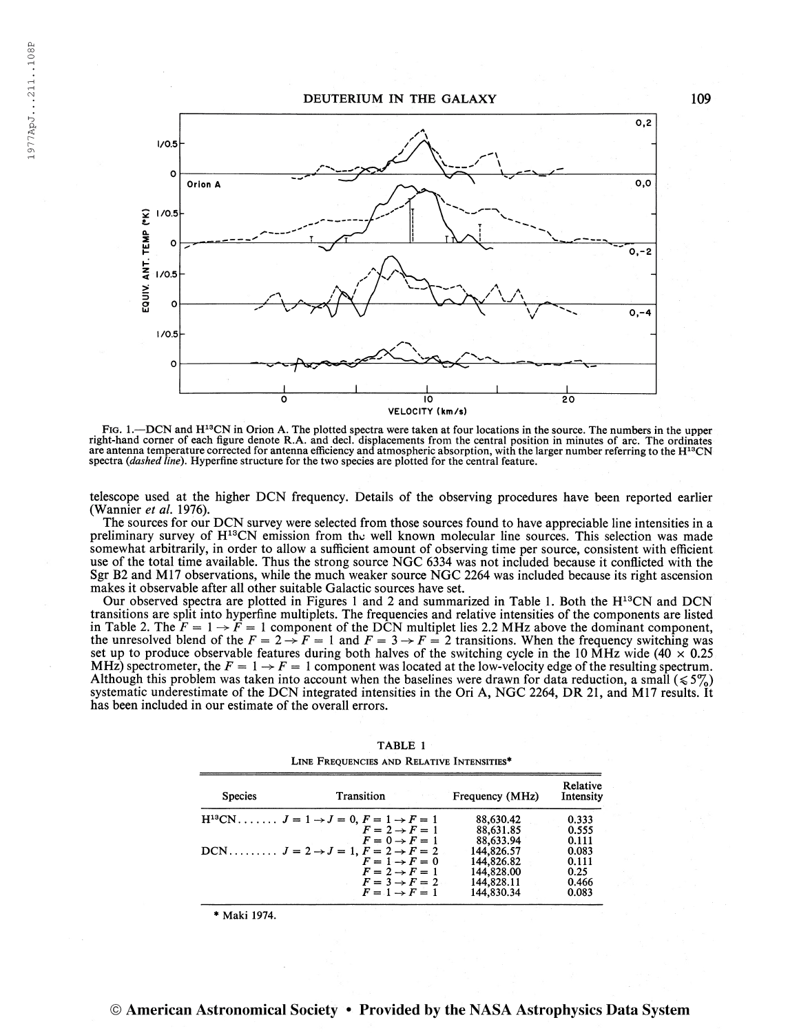

FIG. 1.—DCN and H<sup>13</sup>CN in Orion A. The plotted spectra were taken at four locations in the source. The numbers in the upper<br>right-hand corner of each figure denote R.A. and decl. displacements from the central position in are antenna temperature corrected for antenna efficiency and atmospheric absorption, with the larger number referring to the H<sup>13</sup>CN spectra (dashed line). Hyperfine structure for the two species are plotted for the central feature.

telescope used at the higher DCN frequency. Details of the observing procedures have been reported earlier (Wannier et al. 1976).

The sources for our DCN survey were selected from those sources found to have appreciable line intensities in a preliminary survey of H<sup>13</sup>CN emission from the well known molecular line sources. This selection was made somewhat arbitrarily, in order to allow a sufficient amount of observing time per source, consistent with efficient use of the total time available. Thus the strong source NGC 6334 was not included because it conflicted with the Sgr B2 and M17 observations, while the much weaker source NGC 2264 was included because its right ascension makes it observable after all other suitable Galactic sources have set.

Our observed spectra are plotted in Figures <sup>1</sup> and 2 and summarized in Table 1. Both the H 13 CN and DCN transitions are split into hyperfine multiplets. The frequencies and relative intensities of the components are listed in Table 2. The  $F = 1 \rightarrow \overline{F} = 1$  component of the DCN multiplet lies 2.2 MHz above the dominant component, the unresolved blend of the  $F = 2 \rightarrow F = 1$  and  $F = 3 \rightarrow F = 2$  transitions. When the frequency switching was set up to produce observable features during both halves of the switching cycle in the 10 MHz wide (40  $\times$  0.25 MHz) spectrometer, the  $F = 1 \rightarrow F = 1$  component was located at the low-velocity edge of the resulting spectrum. Although this problem was taken into account when the baselines were drawn for data reduction, a small  $(\leq 5\%)$ systematic underestimate of the DCN integrated intensities in the Ori A, NGC 2264, DR 21, and M17 results. It has been included in our estimate of the overall errors.

| <b>Species</b> | Transition                                                    | Frequency (MHz) | Relative<br>Intensity |
|----------------|---------------------------------------------------------------|-----------------|-----------------------|
|                | $H^{13}CN$ $J = 1 \rightarrow J = 0, F = 1 \rightarrow F = 1$ | 88,630.42       | 0.333                 |
|                | $F = 2 \rightarrow F = 1$                                     | 88,631.85       | 0.555                 |
|                | $F=0 \rightarrow F=1$                                         | 88,633.94       | 0.111                 |
|                | DCN $J = 2 \rightarrow J = 1$ , $F = 2 \rightarrow F = 2$     | 144,826.57      | 0.083                 |
|                | $F = 1 \rightarrow F = 0$                                     | 144,826.82      | 0.111                 |
|                | $F = 2 \rightarrow F = 1$                                     | 144,828.00      | 0.25                  |
|                | $F = 3 \rightarrow F = 2$                                     | 144,828.11      | 0.466                 |
|                | $F=1 \rightarrow F=1$                                         | 144.830.34      | 0.083                 |

| TABLE 1                                    |  |  |  |  |  |  |  |  |
|--------------------------------------------|--|--|--|--|--|--|--|--|
| LINE FREQUENCIES AND RELATIVE INTENSITIES* |  |  |  |  |  |  |  |  |

\* Maki 1974.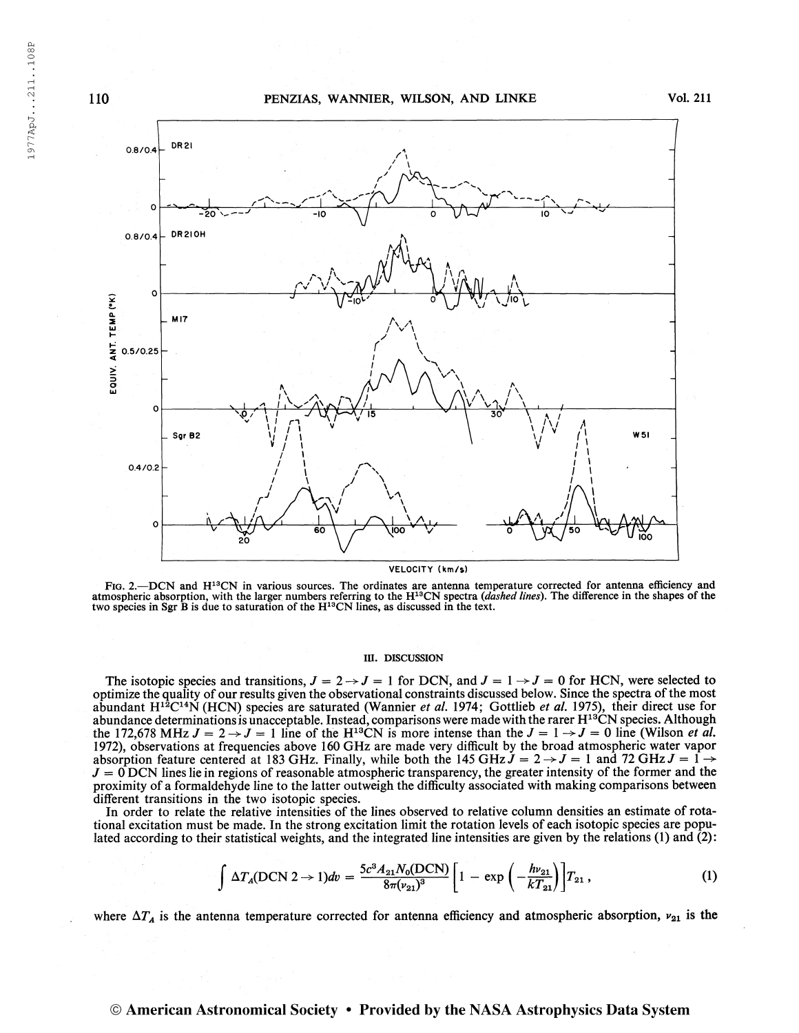

FIG. 2.—DCN and H<sup>13</sup>CN in various sources. The ordinates are antenna temperature corrected for antenna efficiency and atmospheric absorption, with the larger numbers referring to the  $H^{13}CN$  spectra (dashed lines). The difference in the shapes of the two species in Sgr B is due to saturation of the  $H^{13}CN$  lines, as discussed in the te

# III. DISCUSSION

The isotopic species and transitions,  $J = 2 \rightarrow J = 1$  for DCN, and  $J = 1 \rightarrow J = 0$  for HCN, were selected to optimize the quality of our results given the observational constraints discussed below. Since the spectra ofthe most abundant  $H^{12}C^{14}N$  (HCN) species are saturated (Wannier *et al.* 1974; Gottlieb *et al.* 1975), their direct use for abundance determinations is unacceptable. Instead, comparisons were made with the rarer H<sup>13</sup>CN species. Although abundance determinations is unacceptable. Instead, comparisons were made with the rarer  $H^{10}CN$  species. Although<br>the 172,678 MHz  $J = 2 \rightarrow J = 1$  line of the H<sup>13</sup>CN is more intense than the  $J = 1 \rightarrow J = 0$  line (Wilson *et al* 1972), observations at frequencies above 160 GHz are made very difficult by the broad atmospheric water vapor absorption feature centered at 183 GHz. Finally, while both the 145 GHz  $J = 2 \rightarrow J = 1$  and 72 GHz  $J = 1 \rightarrow$  $J = 0$  DCN lines lie in regions of reasonable atmospheric transparency, the greater intensity of the former and the proximity of a formaldehyde line to the latter outweigh the difficulty associated with making comparisons between different transitions in the two isotopic species.

In order to relate the relative intensities of the lines observed to relative column densities an estimate of rotational excitation must be made. In the strong excitation limit the rotation levels of each isotopic species are populated according to their statistical weights, and the integrated line intensities are given by the relations (1) and (2):

$$
\int \Delta T_A(DCN 2 \to 1) dv = \frac{5c^3 A_{21} N_0(DCN)}{8\pi (\nu_{21})^3} \left[1 - \exp\left(-\frac{h\nu_{21}}{kT_{21}}\right)\right] T_{21},
$$
 (1)

where  $\Delta T_A$  is the antenna temperature corrected for antenna efficiency and atmospheric absorption,  $v_{21}$  is the

# © American Astronomical Society • Provided by the NASA Astrophysics Data System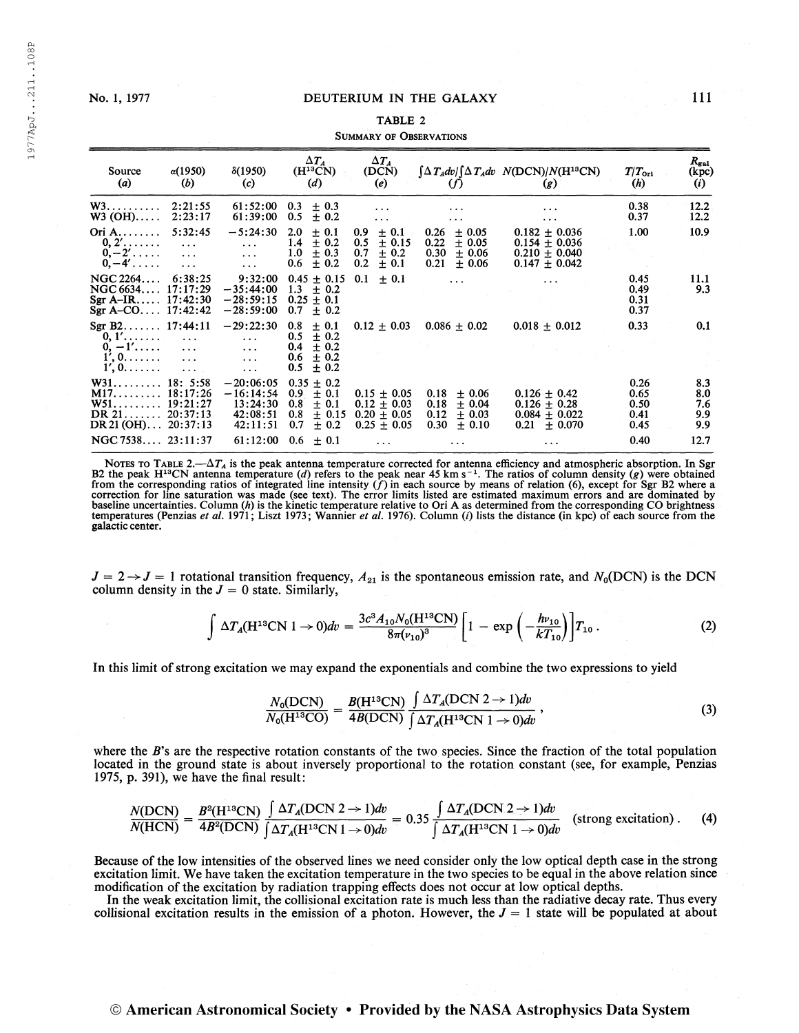# No. 1, 1977 DEUTERIUM IN THE GALAXY

#### TABLE 2

#### Summary of Observations

| Source<br>(a)                                                                                                   | $\alpha(1950)$<br>(b)                           | $\delta(1950)$<br>(c)                                                      | $\Delta T_A$<br>$(H^{13}CN)$<br>(d)                                                                     | $\Delta T_A$<br>(DCN)<br>(e)                                                         | (f)                                                                                    | $\int \Delta T_A dv / \int \Delta T_A dv$ $N(DCN)/N(H^{13}CN)$<br>(g)                    | $T/T_{\rm ori}$<br>(h)                       | $R_{\rm gal}$<br>(kpc)<br>(i)           |
|-----------------------------------------------------------------------------------------------------------------|-------------------------------------------------|----------------------------------------------------------------------------|---------------------------------------------------------------------------------------------------------|--------------------------------------------------------------------------------------|----------------------------------------------------------------------------------------|------------------------------------------------------------------------------------------|----------------------------------------------|-----------------------------------------|
| W3.<br>$W3$ (OH)                                                                                                | 2:21:55<br>2:23:17                              | 61:52:00<br>61:39:00                                                       | 0.3<br>$\pm$ 0.3<br>0.5<br>± 0.2                                                                        | $\cdots$<br>$\cdots$                                                                 | .<br>$\cdots$                                                                          | $\cdots$<br>$\cdots$                                                                     | 0.38<br>0.37                                 | 12.2<br>12.2                            |
| Ori A<br>$0, 2', \ldots$<br>$0,-2' \ldots$<br>$0,-4' \ldots$                                                    | 5:32:45<br>$\ddots$<br>$\cdots$<br>$\ddotsc$    | $-5:24:30$<br>$\cdots$<br>$\cdots$<br>$\cdots$                             | 2.0<br>± 0.1<br>1.4<br>± 0.2<br>1.0<br>$\pm$ 0.3<br>± 0.2<br>0.6                                        | 0.9<br>$\pm$ 0.1<br>0.5<br>$\pm$ 0.15<br>0.7<br>± 0.2<br>0.2<br>± 0.1                | 0.26<br>$\pm$ 0.05<br>0.22<br>$\pm$ 0.05<br>0.30<br>$\pm 0.06$<br>0.21<br>± 0.06       | $0.182 + 0.036$<br>$0.154 \pm 0.036$<br>$0.210 \pm 0.040$<br>$0.147 \pm 0.042$           | 1.00                                         | 10.9                                    |
| NGC 2264<br>NGC 6634 17:17:29<br>Sgr A-IR $17:42:30$<br>Sgr A-CO $17:42:42$                                     | 6:38:25                                         | 9:32:00<br>$-35:44:00$<br>$-28:59:15$<br>$-28:59:00$                       | $0.45 \pm 0.15$<br>1.3<br>$\pm$ 0.2<br>$0.25 \pm 0.1$<br>0.7<br>$\pm$ 0.2                               | ± 0.1<br>0.1                                                                         |                                                                                        |                                                                                          | 0.45<br>0.49<br>0.31<br>0.37                 | 11.1<br>9.3                             |
| Sgr B2 $17:44:11$<br>$0, 1', \ldots,$<br>$0, -1', \ldots$<br>$1', 0, \ldots, \ldots$<br>$1', 0, \ldots, \ldots$ | $\ddotsc$<br>$\ddots$<br>$\ldots$<br>$\sim 100$ | $-29:22:30$<br>$\cdots$<br>$\cdots$<br>$\ddots$<br>$\cdots$                | ± 0.1<br>0.8<br>$\pm$ 0.2<br>0.5<br>0.4<br>$\pm$ 0.2<br>$\pm 0.2$<br>0.6<br>0.5<br>± 0.2                | $0.12 \pm 0.03$                                                                      | $0.086 \pm 0.02$                                                                       | $0.018 \pm 0.012$                                                                        | 0.33                                         | 0.1                                     |
| W31<br>M1718:17:26<br>$W51$<br>DR $21$ 20:37:13<br>$DR 21 (OH) \dots$<br>NGC 7538 23:11:37                      | 18: 5:58<br>19:21:27<br>20:37:13                | $-20:06:05$<br>$-16:14:54$<br>13:24:30<br>42:08:51<br>42:11:51<br>61:12:00 | 0.35<br>$\pm$ 0.2<br>0.9<br>± 0.1<br>0.8<br>± 0.1<br>$\pm$ 0.15<br>0.8<br>0.7<br>± 0.2<br>0.6<br>$+0.1$ | $0.15 \pm 0.05$<br>$0.12 \pm 0.03$<br>$0.20 \pm 0.05$<br>$0.25 \pm 0.05$<br>$\cdots$ | $+0.06$<br>0.18<br>0.18<br>± 0.04<br>0.12<br>$+0.03$<br>0.30<br>$\pm$ 0.10<br>$\cdots$ | $0.126 \pm 0.42$<br>$0.126 \pm 0.28$<br>$0.084 \pm 0.022$<br>0.21<br>± 0.070<br>$\cdots$ | 0.26<br>0.65<br>0.50<br>0.41<br>0.45<br>0.40 | 8.3<br>8.0<br>7.6<br>9.9<br>9.9<br>12.7 |

NOTES TO TABLE 2.— $\Delta T_A$  is the peak antenna temperature corrected for antenna efficiency and atmospheric absorption. In Sgr B2 the peak H<sup>33</sup>CN antenna temperature (*d*) refers to the peak near 45 km s<sup>-1</sup>. The ratios of baseline uncertainties. Column (h) is the kinetic temperature relative to Ori A as determined from the corresponding CO brightness<br>temperatures (Penzias *et al.* 1971; Liszt 1973; Wannier *et al.* 1976). Column (i) lists t galactic center.

 $J = 2 \rightarrow J = 1$  rotational transition frequency,  $A_{21}$  is the spontaneous emission rate, and  $N_0(DCN)$  is the DCN column density in the  $J = 0$  state. Similarly,

$$
\int \Delta T_A (H^{13}CN 1 \to 0) dv = \frac{3c^3 A_{10} N_0 (H^{13}CN)}{8\pi (\nu_{10})^3} \left[1 - \exp\left(-\frac{h\nu_{10}}{kT_{10}}\right)\right] T_{10} \,. \tag{2}
$$

In this limit of strong excitation we may expand the exponentials and combine the two expressions to yield

$$
\frac{N_0(DCN)}{N_0(H^{13}CO)} = \frac{B(H^{13}CN)}{4B(DCN)} \frac{\int \Delta T_A(DCN \ 2 \to 1) dv}{\int \Delta T_A(H^{13}CN \ 1 \to 0) dv},\tag{3}
$$

 $\sim$ 

where the  $B$ 's are the respective rotation constants of the two species. Since the fraction of the total population located in the ground state is about inversely proportional to the rotation constant (see, for example, Penzias 1975, p. 391), we have the final result:

$$
\frac{N(DCN)}{N(HCN)} = \frac{B^2(H^{13}CN)}{4B^2(DCN)} \frac{\int \Delta T_A(DCN \ 2 \to 1)dv}{\int \Delta T_A(H^{13}CN \ 1 \to 0)dv} = 0.35 \frac{\int \Delta T_A(DCN \ 2 \to 1)dv}{\int \Delta T_A(H^{13}CN \ 1 \to 0)dv}
$$
 (strong excitation). (4)

Because of the low intensities of the observed lines we need consider only the low optical depth case in the strong excitation limit. We have taken the excitation temperature in the two species to be equal in the above relation since modification of the excitation by radiation trapping effects does not occur at low optical depths.

In the weak excitation limit, the collisional excitation rate is much less than the radiative decay rate. Thus every collisional excitation results in the emission of a photon. However, the  $J = 1$  state will be populated at about

# © American Astronomical Society • Provided by the NASA Astrophysics Data System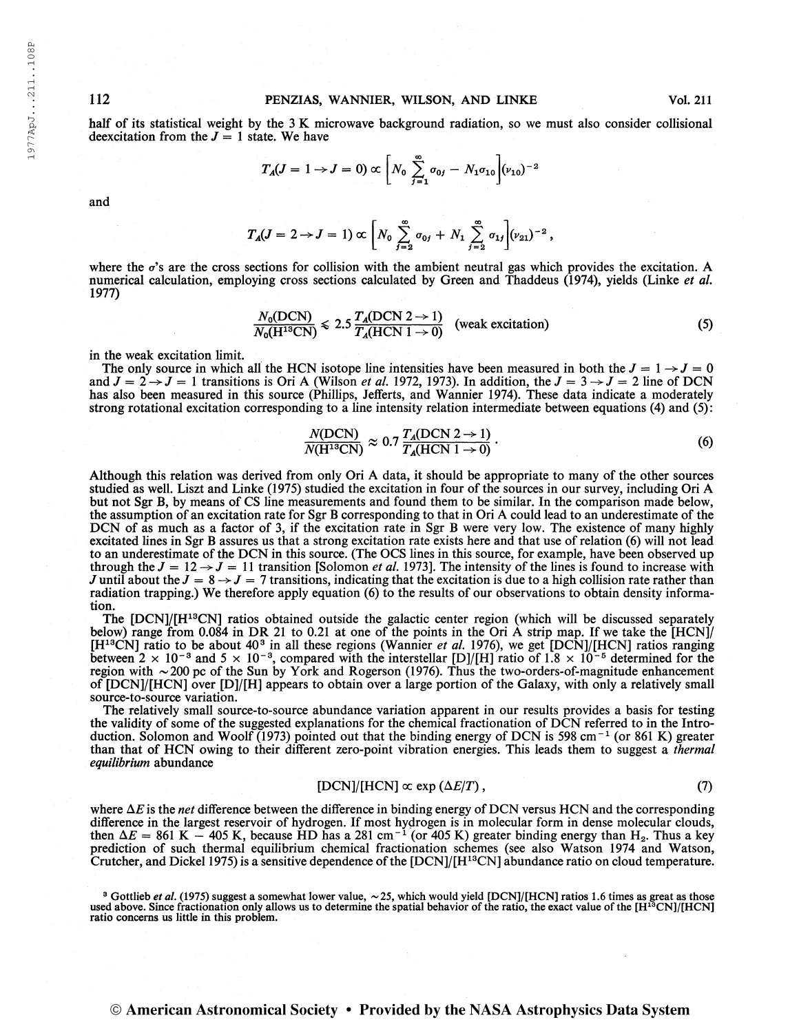half of its statistical weight by the 3 K microwave background radiation, so we must also consider collisional deexcitation from the  $J = 1$  state. We have

$$
T_A(J=1\to J=0) \propto \bigg[N_0\sum_{j=1}^{\infty}\sigma_{0j}-N_1\sigma_{10}\bigg](\nu_{10})^{-2}
$$

$$
T_A(J=2 \to J=1) \propto \bigg[N_0 \sum_{j=2}^{\infty} \sigma_{0j} + N_1 \sum_{j=2}^{\infty} \sigma_{1j} \bigg] (\nu_{21})^{-2} ,
$$

where the  $\sigma$ 's are the cross sections for collision with the ambient neutral gas which provides the excitation. A numerical calculation, employing cross sections calculated by Green and Thaddeus (1974), yields (Linke et al. 1977)

$$
\frac{N_0(DCN)}{N_0(H^{18}CN)} \le 2.5 \frac{T_A(DCN \ 2 \rightarrow 1)}{T_A(HCN \ 1 \rightarrow 0)}
$$
 (weak excitation) \t(5)

in the weak excitation limit.

The only source in which all the HCN isotope line intensities have been measured in both the  $J = 1 \rightarrow J = 0$ and  $J = 2 \rightarrow J = 1$  transitions is Ori A (Wilson *et al.* 1972, 1973). In addition, the  $J = 3 \rightarrow J = 2$  line of DCN has also been measured in this source (Phillips, Jefferts, and Wannier 1974). These data indicate a moderately strong rotational excitation corresponding to a line intensity relation intermediate between equations (4) and (5):

$$
\frac{N(DCN)}{N(H^{13}CN)} \approx 0.7 \frac{T_A(DCN 2 \to 1)}{T_A(HCN 1 \to 0)}.
$$
\n(6)

Although this relation was derived from only Ori A data, it should be appropriate to many of the other sources studied as well. Liszt and Linke (1975) studied the excitation in four ofthe sources in our survey, including Ori A but not Sgr B, by means of CS line measurements and found them to be similar. In the comparison made below, the assumption of an excitation rate for Sgr B corresponding to that in Ori A could lead to an underestimate of the DCN of as much as a factor of 3, if the excitation rate in Sgr B were very low. The existence of many highly excitated lines in Sgr B assures us that a strong excitation rate exists here and that use of relation (6) will not lead to an underestimate ofthe DCN in this source. (The OCS lines in this source, for example, have been observed up through the  $J = 12 \rightarrow J = 11$  transition [Solomon *et al.* 1973]. The intensity of the lines is found to increase with J until about the  $J = 8 \rightarrow J = 7$  transitions, indicating that the excitation is due to a high collision rate rather than radiation trapping.) We therefore apply equation (6) to the results of our observations to obtain density information.

The [DCN]/[H<sup>13</sup>CN] ratios obtained outside the galactic center region (which will be discussed separately below) range from 0.084 in DR 21 to 0.21 at one of the points in the Ori  $\dot{A}$  strip map. If we take the [HCN]/ [H<sup>13</sup>CN] ratio to be about 40<sup>3</sup> in all these regions (Wannier *et al.* 1976), we get [DCN]/[HCN] ratios ranging between  $2 \times 10^{-8}$  and  $5 \times 10^{-8}$ , compared with the interstellar [D]/[H] ratio of 1.8  $\times 10^{-5}$  determi region with ~200 pc of the Sun by York and Rogerson (1976). Thus the two-orders-of-magnitude enhancement of [DCN]/[HCN] over [D]/[H] appears to obtain over a large portion of the Galaxy, with only a relatively small source-to-source variation.

The relatively small source-to-source abundance variation apparent in our results provides a basis for testing the validity of some of the suggested explanations for the chemical fractionation of DCN referred to in the Introthe validity of some of the suggested explanations for the chemical fractionation of DCN referred to in the Intro-<br>duction. Solomon and Woolf (1973) pointed out that the binding energy of DCN is 598 cm<sup>-1</sup> (or 861 K) great than that of HCN owing to their different zero-point vibration energies. This leads them to suggest a *thermal* equilibrium abundance

$$
[DCN]/[HCN] \propto \exp\left(\Delta E/T\right),\tag{7}
$$

where  $\Delta E$  is the *net* difference between the difference in binding energy of DCN versus HCN and the corresponding difference in the largest reservoir of hydrogen. If most hydrogen is in molecular form in dense molecular clouds, difference in the largest reservoir of hydrogen. If most hydrogen is in molecular form in dense molecular clouds,<br>then  $\Delta E = 861 \text{ K} - 405 \text{ K}$ , because HD has a 281 cm<sup>-1</sup> (or 405 K) greater binding energy than H<sub>2</sub>. Th prediction of such thermal equilibrium chemical fractionation schemes (see also Watson 1974 and Watson, Crutcher, and Dickel 1975) is a sensitive dependence ofthe [DCN]/[H13CN] abundance ratio on cloud temperature.

<sup>3</sup> Gottlieb et al. (1975) suggest a somewhat lower value,  $\sim$  25, which would yield [DCN]/[HCN] ratios 1.6 times as great as those used above. Since fractionation only allows us to determine the spatial behavior of the ratio concerns us little in this problem.

and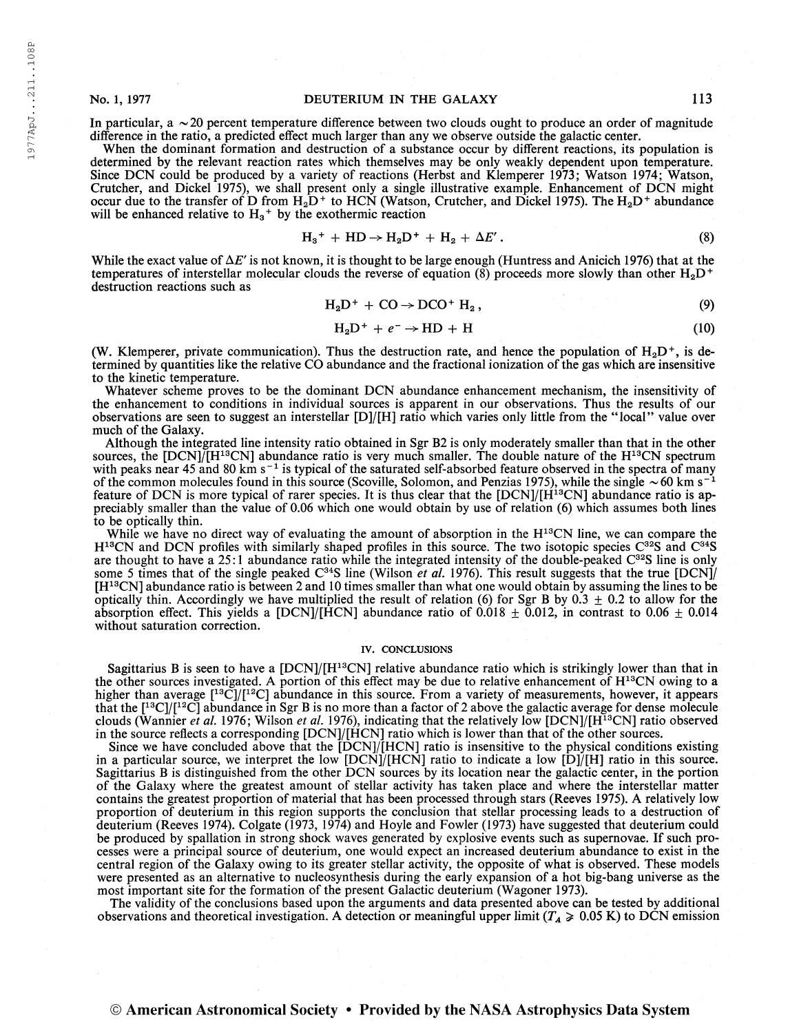1977ApJ. . .211. .108P

1977ApJ...211..108P

In particular,  $a \sim 20$  percent temperature difference between two clouds ought to produce an order of magnitude difference in the ratio, a predicted effect much larger than any we observe outside the galactic center.

When the dominant formation and destruction of a substance occur by different reactions, its population is determined by the relevant reaction rates which themselves may be only weakly dependent upon temperature. Since DCN could be produced by a variety of reactions (Herbst and Klemperer 1973; Watson 1974; Watson, Crutcher, and Dickel 1975), we shall present only a single illustrative example. Enhancement of DCN might occur due to the transfer of D from  $H_2D^+$  to HCN (Watson, Crutcher, and Dickel 1975). The  $H_2D^+$  abundance will be enhanced relative to  $H_3$ <sup>+</sup> by the exothermic reaction

$$
H_3^+ + HD \to H_2D^+ + H_2 + \Delta E' \,.
$$
 (8)

While the exact value of  $\Delta E'$  is not known, it is thought to be large enough (Huntress and Anicich 1976) that at the temperatures of interstellar molecular clouds the reverse of equation (8) proceeds more slowly than other  $H_2D^+$ destruction reactions such as

$$
H_2D^+ + CO \rightarrow DCO^+ H_2, \qquad (9)
$$

$$
H_2D^+ + e^- \rightarrow HD + H \tag{10}
$$

(W. Klemperer, private communication). Thus the destruction rate, and hence the population of  $H_2D^+$ , is determined by quantities like the relative CO abundance and the fractional ionization ofthe gas which are insensitive to the kinetic temperature.

Whatever scheme proves to be the dominant DCN abundance enhancement mechanism, the insensitivity of the enhancement to conditions in individual sources is apparent in our observations. Thus the results of our observations are seen to suggest an interstellar [D]/[H] ratio which varies only little from the "local" value over much of the Galaxy.

Although the integrated line intensity ratio obtained in Sgr B2 is only moderately smaller than that in the other sources, the [DCN]/[H<sup>13</sup>CN] abundance ratio is very much smaller. The double nature of the H<sup>13</sup>CN spectrum with peaks near 45 and 80 km s<sup>-1</sup> is typical of the saturated self-absorbed feature observed in the spectra of many<br>of the common molecules found in this source (Scoville, Solomon, and Penzias 1975), while the single  $\sim$ feature of DCN is more typical of rarer species. It is thus clear that the [DCN]/[H<sup>13</sup>CN] abundance ratio is appreciably smaller than the value of 0.06 which one would obtain by use of relation (6) which assumes both lines to be optically thin.

While we have no direct way of evaluating the amount of absorption in the H<sup>13</sup>CN line, we can compare the H<sup>13</sup>CN and DCN profiles with similarly shaped profiles in this source. The two isotopic species C<sup>32</sup>S and C<sup>34</sup>S are thought to have a 25:1 abundance ratio while the integrated intensity of the double-peaked  $C^{32}S$  line is only some 5 times that of the single peaked  $C^{34}S$  line (Wilson *et al.* 1976). This result suggests that the true [DCN]/ [H13CN] abundance ratio is between 2 and <sup>10</sup> times smaller than what one would obtain by assuming the lines to be optically thin. Accordingly we have multiplied the result of relation (6) for Sgr B by  $0.3 \pm 0.2$  to allow for the absorption effect. This yields a [DCN]/[HCN] abundance ratio of 0.018  $\pm$  0.012, in contrast to 0.06  $\pm$  0.014 without saturation correction.

### IV. CONCLUSIONS

Sagittarius B is seen to have a [DCN]/[H<sup>13</sup>CN] relative abundance ratio which is strikingly lower than that in the other sources investigated. A portion of this effect may be due to relative enhancement of H<sup>13</sup>CN owing to a higher than average  $[$ <sup>13</sup>C]/[<sup>12</sup>C] abundance in this source. From a variety of measurements, however, it appears that the  $[1^3C]/[1^2C]$  abundance in Sgr B is no more than a factor of 2 above the galactic average for dense molecule clouds (Wannier *et al.* 1976; Wilson *et al.* 1976), indicating that the relatively low [DCN]/[H<sup>13</sup>CN] ratio observed in the source reflects a corresponding [DCN]/[HCN] ratio which is lower than that ofthe other sources.

Since we have concluded above that the [DCN]/[HCN] ratio is insensitive to the physical conditions existing in a particular source, we interpret the low  $[DCN]/[HCN]$  ratio to indicate a low  $[D]/[H]$  ratio in this source. Sagittarius B is distinguished from the other DCN sources by its location near the galactic center, in the portion of the Galaxy where the greatest amount of stellar activity has taken place and where the interstellar matter contains the greatest proportion of material that has been processed through stars (Reeves 1975). A relatively low proportion of deuterium in this region supports the conclusion that stellar processing leads to a destruction of deuterium (Reeves 1974). Colgate (1973, 1974) and Hoyle and Fowler (1973) have suggested that deuterium could be produced by spallation in strong shock waves generated by explosive events such as supernovae. If such processes were a principal source of deuterium, one would expect an increased deuterium abundance to exist in the central region of the Galaxy owing to its greater stellar activity, the opposite of what is observed. These models were presented as an alternative to nucleosynthesis during the early expansion of a hot big-bang universe as the most important site for the formation of the present Galactic deuterium (Wagoner 1973).

The validity of the conclusions based upon the arguments and data presented above can be tested by additional observations and theoretical investigation. A detection or meaningful upper limit ( $T_A \ge 0.05$  K) to DCN emission